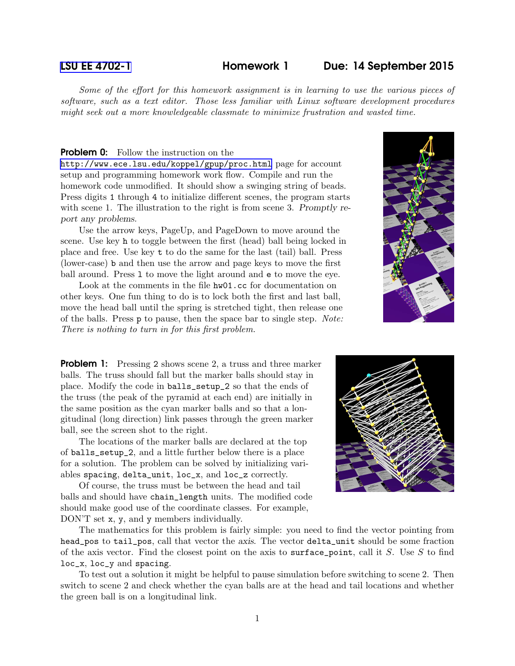## [LSU EE 4702-1](http://www.ece.lsu.edu/koppel/gpup/) Homework 1 Due: 14 September 2015

Some of the effort for this homework assignment is in learning to use the various pieces of software, such as a text editor. Those less familiar with Linux software development procedures might seek out a more knowledgeable classmate to minimize frustration and wasted time.

## **Problem 0:** Follow the instruction on the

<http://www.ece.lsu.edu/koppel/gpup/proc.html> page for account setup and programming homework work flow. Compile and run the homework code unmodified. It should show a swinging string of beads. Press digits 1 through 4 to initialize different scenes, the program starts with scene 1. The illustration to the right is from scene 3. Promptly report any problems.

Use the arrow keys, PageUp, and PageDown to move around the scene. Use key h to toggle between the first (head) ball being locked in place and free. Use key t to do the same for the last (tail) ball. Press (lower-case) b and then use the arrow and page keys to move the first ball around. Press 1 to move the light around and  $\epsilon$  to move the eye.

Look at the comments in the file hw01.cc for documentation on other keys. One fun thing to do is to lock both the first and last ball, move the head ball until the spring is stretched tight, then release one of the balls. Press p to pause, then the space bar to single step. Note: There is nothing to turn in for this first problem.



**Problem 1:** Pressing 2 shows scene 2, a truss and three marker balls. The truss should fall but the marker balls should stay in place. Modify the code in balls\_setup\_2 so that the ends of the truss (the peak of the pyramid at each end) are initially in the same position as the cyan marker balls and so that a longitudinal (long direction) link passes through the green marker ball, see the screen shot to the right.

The locations of the marker balls are declared at the top of balls\_setup\_2, and a little further below there is a place for a solution. The problem can be solved by initializing variables spacing, delta\_unit, loc\_x, and loc\_z correctly.

Of course, the truss must be between the head and tail balls and should have chain\_length units. The modified code should make good use of the coordinate classes. For example, DON'T set x, y, and y members individually.



The mathematics for this problem is fairly simple: you need to find the vector pointing from head\_pos to tail\_pos, call that vector the axis. The vector delta\_unit should be some fraction of the axis vector. Find the closest point on the axis to surface point, call it S. Use S to find loc\_x, loc\_y and spacing.

To test out a solution it might be helpful to pause simulation before switching to scene 2. Then switch to scene 2 and check whether the cyan balls are at the head and tail locations and whether the green ball is on a longitudinal link.